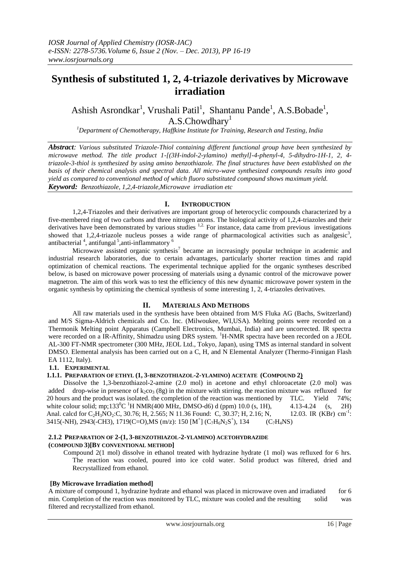# **Synthesis of substituted 1, 2, 4-triazole derivatives by Microwave irradiation**

Ashish Asrondkar<sup>1</sup>, Vrushali Patil<sup>1</sup>, Shantanu Pande<sup>1</sup>, A.S.Bobade<sup>1</sup>, A.S.Chowdhary<sup>1</sup>

*<sup>1</sup>Department of Chemotherapy, Haffkine Institute for Training, Research and Testing, India*

*Abstract: Various substituted Triazole-Thiol containing different functional group have been synthesized by microwave method. The title product 1-[(3H-indol-2-ylamino) methyl]-4-phenyl-4, 5-dihydro-1H-1, 2, 4 triazole-3-thiol is synthesized by using amino benzothiazole. The final structures have been established on the basis of their chemical analysis and spectral data. All micro-wave synthesized compounds results into good yield as compared to conventional method of which fluoro substituted compound shows maximum yield. Keyword: Benzothiazole, 1,2,4-triazole,Microwave irradiation etc*

# **I. INTRODUCTION**

1,2,4-Triazoles and their derivatives are important group of heterocyclic compounds characterized by a five-membered ring of two carbons and three nitrogen atoms. The biological activity of 1,2,4-triazoles and their derivatives have been demonstrated by various studies <sup>1,2.</sup> For instance, data came from previous investigations showed that 1,2,4-triazole nucleus posses a wide range of pharmacological activities such as analgesic<sup>3</sup>, antibacterial<sup>4</sup>, antifungal<sup>5</sup>, anti-inflammatory<sup>6</sup>

Microwave assisted organic synthesis<sup>7</sup> became an increasingly popular technique in academic and industrial research laboratories, due to certain advantages, particularly shorter reaction times and rapid optimization of chemical reactions. The experimental technique applied for the organic syntheses described below, is based on microwave power processing of materials using a dynamic control of the microwave power magnetron. The aim of this work was to test the efficiency of this new dynamic microwave power system in the organic synthesis by optimizing the chemical synthesis of some interesting 1, 2, 4-triazoles derivatives.

# **II. MATERIALS AND METHODS**

All raw materials used in the synthesis have been obtained from M/S Fluka AG (Bachs, Switzerland) and M/S Sigma-Aldrich chemicals and Co. Inc. (Milwoukee, WI,USA). Melting points were recorded on a Thermonik Melting point Apparatus (Campbell Electronics, Mumbai, India) and are uncorrected. IR spectra were recorded on a IR-Affinity, Shimadzu using DRS system. <sup>1</sup>H-NMR spectra have been recorded on a JEOL AL-300 FT-NMR spectrometer (300 MHz, JEOL Ltd., Tokyo, Japan), using TMS as internal standard in solvent DMSO. Elemental analysis has been carried out on a C, H, and N Elemental Analyzer (Thermo-Finnigan Flash EA 1112, Italy).

#### **1.1. EXPERIMENTAL**

# **1.1.1. PREPARATION OF ETHYL (1, 3-BENZOTHIAZOL-2-YLAMINO) ACETATE (COMPOUND 2)**

Dissolve the 1,3-benzothiazol-2-amine (2.0 mol) in acetone and ethyl chloroacetate (2.0 mol) was added drop-wise in presence of  $k_2c_3$  (8g) in the mixture with stirring, the reaction mixture was refluxed for 20 hours and the product was isolated. the completion of the reaction was mentioned by TLC. Yield 74%; white colour solid; mp;133<sup>0</sup>C <sup>1</sup>H NMR(400 MHz, DMSO-d6) d (ppm) 10.0 (s, 1H), 4.13-4.24 (s, 2H) Anal. calcd for C<sub>2</sub>H<sub>3</sub>NO<sub>2</sub>:C, 30.76; H, 2.565; N 11.36 Found: C, 30.37; H, 2.16; N, 12.03. IR (KBr)  $cm^{-1}$ : 3415(-NH), 2943(-CH3), 1719(C=O),MS (m/z): 150 [M<sup>+</sup>] (C<sub>7</sub>H<sub>6</sub>N<sub>2</sub>S<sup>+</sup>  $(C_7H_4NS)$ 

#### **2.1.2 PREPARATION OF 2-(1, 3-BENZOTHIAZOL-2-YLAMINO) ACETOHYDRAZIDE (COMPOUND 3)[BY CONVENTIONAL METHOD]**

Compound 2(1 mol) dissolve in ethanol treated with hydrazine hydrate (1 mol) was refluxed for 6 hrs. The reaction was cooled, poured into ice cold water. Solid product was filtered, dried and Recrystallized from ethanol.

# **[By Microwave Irradiation method]**

A mixture of compound 1, hydrazine hydrate and ethanol was placed in microwave oven and irradiated for 6 min. Completion of the reaction was monitored by TLC, mixture was cooled and the resulting solid was filtered and recrystallized from ethanol.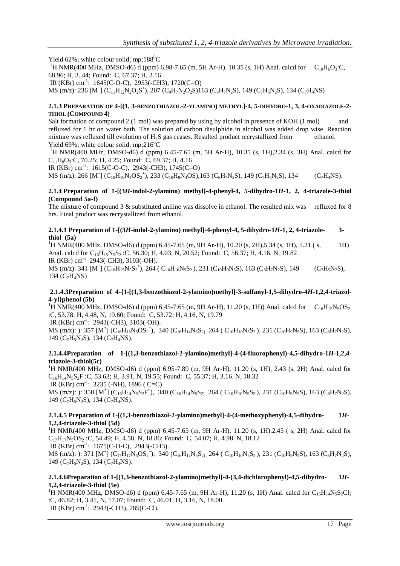Yield 62%; white colour solid; mp;188 $^{\circ}$ C

<sup>1</sup>H NMR(400 MHz, DMSO-d6) d (ppm) 6.98-7.65 (m, 5H Ar-H), 10.35 (s, 1H) Anal. calcd for  $C_{10}H_6O_3$ :C, 68.96; H, 3..44; Found: C, 67.37; H, 2.16

IR (KBr) cm<sup>-1</sup>: 1645(C-O-C), 2953(-CH3), 1720(C=O)

MS (m/z): 236 [M<sup>+</sup>] (C<sub>11</sub>H<sub>12</sub>N<sub>2</sub>O<sub>2</sub>S<sup>+</sup>), 207 (C<sub>9</sub>H<sub>7</sub>N<sub>2</sub>O<sub>2</sub>S)163 (C<sub>8</sub>H<sub>7</sub>N<sub>2</sub>S), 149 (C<sub>7</sub>H<sub>5</sub>N<sub>2</sub>S), 134 (C<sub>7</sub>H<sub>4</sub>NS)

## **2.1.3 PREPARATION OF 4-[(1, 3-BENZOTHIAZOL-2-YLAMINO) METHYL]-4, 5-DIHYDRO-1, 3, 4-OXADIAZOLE-2- THIOL (COMPOUND 4)**

Salt formation of compound 2 (1 mol) was prepared by using by alcohol in presence of KOH (1 mol) and refluxed for 1 hr on water bath. The solution of carbon disulphide in alcohol was added drop wise. Reaction mixture was refluxed till evolution of  $H_2S$  gas ceases. Resulted product recrystallized from ethanol. Yield 69%; white colour solid; mp;216<sup>0</sup>C

<sup>1</sup>H NMR(400 MHz, DMSO-d6) d (ppm) 6.45-7.65 (m, 5H Ar-H), 10.35 (s, 1H),2.34 (s, 3H) Anal. calcd for  $C_{11}H_8O_3$ :C, 70.25; H, 4.25; Found: C, 69.37; H, 4.16

IR (KBr) cm-1 : 1615(C-O-C), 2943(-CH3), 1745(C=O)

MS (m/z): 266 [M<sup>+</sup>] (C<sub>10</sub>H<sub>10</sub>N<sub>4</sub>OS<sub>2</sub><sup>+</sup>), 233 (C<sub>10</sub>H<sub>9</sub>N<sub>4</sub>OS), 163 (C<sub>8</sub>H<sub>7</sub>N<sub>2</sub>S), 149 (C<sub>7</sub>H<sub>5</sub>N<sub>2</sub>S), 134 (C<sub>7</sub>H<sub>4</sub>NS).

#### **2.1.4 Preparation of 1-[(3***H***-indol-2-ylamino) methyl]-4-phenyl-4, 5-dihydro-1***H***-1, 2, 4-triazole-3-thiol (Compound 5a-f)**

The mixture of compound 3 & substituted aniline was dissolve in ethanol. The resulted mix was refluxed for 8 hrs. Final product was recrystallized from ethanol.

#### **2.1.4.1 Preparation of 1-[(3***H***-indol-2-ylamino) methyl]-4-phenyl-4, 5-dihydro-1***H***-1, 2, 4-triazole- 3 thiol (5a)**

<sup>1</sup>H NMR(400 MHz, DMSO-d6) d (ppm) 6.45-7.65 (m, 9H Ar-H), 10.20 (s, 2H), 5.34 (s, 1H), 5.21 (s, 1H) Anal. calcd for C<sub>16</sub>H<sub>15</sub>N<sub>5</sub>S<sub>2</sub>:C, 56.30; H, 4.03, N, 20.52; Found: C, 56.37; H, 4.16. N, 19.82 IR (KBr) cm-1 2943(-CH3), 3103(-OH).  $MS(m/z): 341 [M^+] (C_{16}H_{15}N_5S_2^+), 264 (C_{10}H_{10}N_5S_2), 231 (C_{10}H_9N_5S), 163 (C_8H_7N_2S), 149 (C_7H_5N_2S),$ 134 ( $C_7H_4NS$ )

# **2.1.4.3Preparation of 4-{1-[(1,3-benzothiazol-2-ylamino)methyl]-3-sulfanyl-1,5-dihydro-4***H***-1,2,4-triazol-4-yl}phenol (5b)**

<sup>1</sup>H NMR(400 MHz, DMSO-d6) d (ppm) 6.45-7.65 (m, 9H Ar-H), 11.20 (s, 1H)) Anal. calcd for  $C_{16}H_{15}N_5OS_2$ :C, 53.78; H, 4.48, N, 19.60; Found: C, 53.72; H, 4.16, N, 19.79

IR (KBr) cm<sup>-1</sup>: 2943(-CH3), 3103(-OH).

MS (m/z): ): 357 [M<sup>+</sup>] (C<sub>16</sub>H<sub>15</sub>N<sub>5</sub>OS<sub>2</sub><sup>+</sup>), 340 (C<sub>16</sub>H<sub>14</sub>N<sub>5</sub>S<sub>2)</sub>, 264 (C<sub>10</sub>H<sub>10</sub>N<sub>5</sub>S<sub>2</sub>), 231 (C<sub>10</sub>H<sub>9</sub>N<sub>5</sub>S), 163 (C<sub>8</sub>H<sub>7</sub>N<sub>2</sub>S), 149 ( $C_7H_5N_2S$ ), 134 ( $C_7H_4NS$ ).

# **2.1.4.4Preparation of 1-[(1,3-benzothiazol-2-ylamino)methyl]-4-(4-fluorophenyl)-4,5-dihydro-1***H***-1,2,4 triazole-3-thiol(5c)**

<sup>1</sup>H NMR(400 MHz, DMSO-d6) d (ppm) 6.95-7.89 (m, 9H Ar-H), 11.20 (s, 1H), 2.43 (s, 2H) Anal. calcd for C16H14N5S2F :C, 53.63; H, 3.91, N, 19.55; Found: C, 55.37; H, 3.16. N, 18.32 IR (KBr) cm-1 : 3235 (-NH), 1896 ( C=C)

MS (m/z): ): 358 [M<sup>+</sup>] (C<sub>16</sub>H<sub>14</sub>N<sub>5</sub>S<sub>2</sub>F<sup>+</sup>), 340 (C<sub>16</sub>H<sub>14</sub>N<sub>5</sub>S<sub>2)</sub>, 264 (C<sub>10</sub>H<sub>10</sub>N<sub>5</sub>S<sub>2</sub>), 231 (C<sub>10</sub>H<sub>9</sub>N<sub>5</sub>S), 163 (C<sub>8</sub>H<sub>7</sub>N<sub>2</sub>S), 149 ( $C_7H_5N_2S$ ), 134 ( $C_7H_4NS$ ).

#### **2.1.4.5 Preparation of 1-[(1,3-benzothiazol-2-ylamino)methyl]-4-(4-methoxyphenyl)-4,5-dihydro- 1***H***-1,2,4-triazole-3-thiol (5d)**

<sup>1</sup>H NMR(400 MHz, DMSO-d6) d (ppm) 6.45-7.65 (m, 9H Ar-H), 11.20 (s, 1H).2.45 ( s, 2H) Anal. calcd for  $C_{17}H_{17}N_5OS_2$ :C, 54.49; H, 4.58, N, 18.86; Found: C, 54.07; H, 4.98. N, 18.12 IR (KBr) cm<sup>-1</sup>: 1675(C-O-C), 2943(-CH3).

MS (m/z): ): 371 [M<sup>+</sup>] (C<sub>17</sub>H<sub>17</sub>N<sub>5</sub>OS<sub>2</sub><sup>+</sup>), 340 (C<sub>16</sub>H<sub>14</sub>N<sub>5</sub>S<sub>2)</sub>, 264 (C<sub>10</sub>H<sub>10</sub>N<sub>5</sub>S<sub>2</sub>), 231 (C<sub>10</sub>H<sub>9</sub>N<sub>5</sub>S), 163 (C<sub>8</sub>H<sub>7</sub>N<sub>2</sub>S), 149 ( $C_7H_5N_2S$ ), 134 ( $C_7H_4NS$ ).

#### **2.1.4.6Preparation of 1-[(1,3-benzothiazol-2-ylamino)methyl]-4-(3,4-dichlorophenyl)-4,5-dihydro- 1***H***-1,2,4-triazole-3-thiol (5e)**

<sup>1</sup>H NMR(400 MHz, DMSO-d6) d (ppm) 6.45-7.65 (m, 9H Ar-H), 11.20 (s, 1H) Anal. calcd for C<sub>16</sub>H<sub>14</sub>N<sub>5</sub>S<sub>2</sub>Cl<sub>2</sub> :C, 46.82; H, 3.41, N, 17.07; Found: C, 46.01; H, 3.16, N, 18.00. IR (KBr) cm-1 : 2943(-CH3), 785(C-Cl).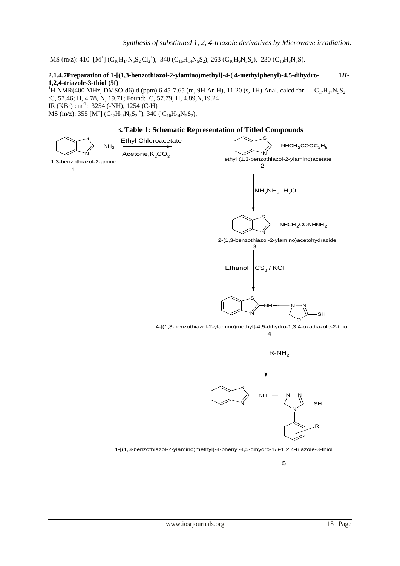MS (m/z): 410  $[M^+]$  (C<sub>16</sub>H<sub>14</sub>N<sub>5</sub>S<sub>2</sub>Cl<sub>2</sub><sup>+</sup>), 340 (C<sub>16</sub>H<sub>14</sub>N<sub>5</sub>S<sub>2</sub>), 263 (C<sub>10</sub>H<sub>9</sub>N<sub>5</sub>S<sub>2</sub>), 230 (C<sub>10</sub>H<sub>8</sub>N<sub>5</sub>S).

## **2.1.4.7Preparation of 1-[(1,3-benzothiazol-2-ylamino)methyl]-4-( 4-methylphenyl)-4,5-dihydro- 1***H***-1,2,4-triazole-3-thiol (5f)**

<sup>1</sup>H NMR(400 MHz, DMSO-d6) d (ppm) 6.45-7.65 (m, 9H Ar-H), 11.20 (s, 1H) Anal. calcd for  $C_{17}H_{17}N_5S_2$ :C, 57.46; H, 4.78, N, 19.71; Found: C, 57.79, H, 4.89,N,19.24 IR (KBr) cm-1 : 3254 (-NH), 1254 (C-H)

MS (m/z): 355 [M<sup>+</sup>] (C<sub>17</sub>H<sub>17</sub>N<sub>5</sub>S<sub>2</sub><sup>+</sup>), 340 (C<sub>16</sub>H<sub>14</sub>N<sub>5</sub>S<sub>2</sub>),

# **3. Table 1: Schematic Representation of Titled Compounds**